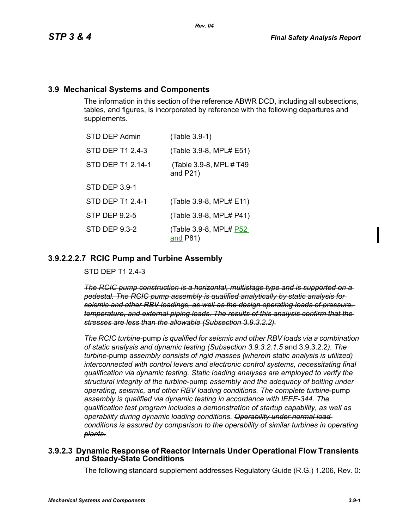## **3.9 Mechanical Systems and Components**

The information in this section of the reference ABWR DCD, including all subsections, tables, and figures, is incorporated by reference with the following departures and supplements.

| <b>STD DEP Admin</b> | (Table 3.9-1)                           |
|----------------------|-----------------------------------------|
| STD DEP T1 2.4-3     | (Table 3.9-8, MPL# E51)                 |
| STD DEP T1 2.14-1    | (Table 3.9-8, MPL # T49)<br>and $P21$ ) |
| <b>STD DEP 3.9-1</b> |                                         |
| STD DEP T1 2.4-1     | (Table 3.9-8, MPL# E11)                 |
| <b>STP DEP 9.2-5</b> | (Table 3.9-8, MPL# P41)                 |
| STD DEP 9.3-2        | (Table 3.9-8, MPL# P52<br>and P81)      |

## **3.9.2.2.2.7 RCIC Pump and Turbine Assembly**

STD DEP T1 2.4-3

*The RCIC pump construction is a horizontal, multistage type and is supported on a pedestal. The RCIC pump assembly is qualified analytically by static analysis for seismic and other RBV loadings, as well as the design operating loads of pressure, temperature, and external piping loads. The results of this analysis confirm that the stresses are less than the allowable (Subsection 3.9.3.2.2).*

*The RCIC turbine*-pump *is qualified for seismic and other RBV loads via a combination of static analysis and dynamic testing (Subsection 3.9.3.2.1.5* and 3.9.3.2.2*). The turbine*-pump *assembly consists of rigid masses (wherein static analysis is utilized) interconnected with control levers and electronic control systems, necessitating final qualification via dynamic testing. Static loading analyses are employed to verify the structural integrity of the turbine*-pump *assembly and the adequacy of bolting under operating, seismic, and other RBV loading conditions. The complete turbine*-pump *assembly is qualified via dynamic testing in accordance with IEEE-344. The qualification test program includes a demonstration of startup capability, as well as operability during dynamic loading conditions. Operability under normal load conditions is assured by comparison to the operability of similar turbines in operating plants.*

#### **3.9.2.3 Dynamic Response of Reactor Internals Under Operational Flow Transients and Steady-State Conditions**

The following standard supplement addresses Regulatory Guide (R.G.) 1.206, Rev. 0: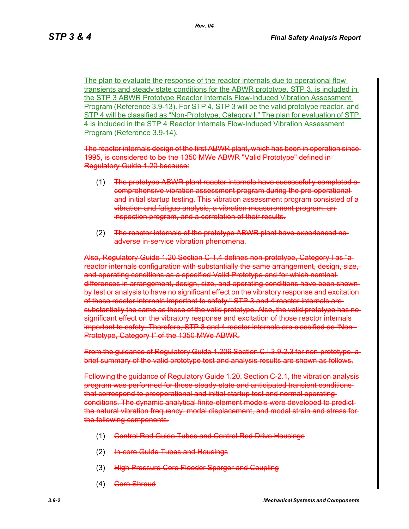The plan to evaluate the response of the reactor internals due to operational flow transients and steady state conditions for the ABWR prototype, STP 3, is included in the STP 3 ABWR Prototype Reactor Internals Flow-Induced Vibration Assessment Program (Reference 3.9-13). For STP 4, STP 3 will be the valid prototype reactor, and STP 4 will be classified as "Non-Prototype, Category I." The plan for evaluation of STP 4 is included in the STP 4 Reactor Internals Flow-Induced Vibration Assessment Program (Reference 3.9-14).

The reactor internals design of the first ABWR plant, which has been in operation sin 1995, is considered to be the 1350 MWe ABWR "Valid Prototype" defined in Regulatory Guide 1.20 because:

- (1) The prototype ABWR plant reactor internals have successfully completed a comprehensive vibration assessment program during the pre-operational and initial startup testing. This vibration assessment program consisted of a vibration and fatigue analysis, a vibration measurement program, an inspection program, and a correlation of their results.
- (2) The reactor internals of the prototype ABWR plant have experienced noadverse in-service vibration phenomena.

Also, Regulatory Guide 1.20 Section C 1.4 defines non-prototype, Category I as "areactor internals configuration with substantially the same arrangement, design, size, and operating conditions as a specified Valid Prototype and for which nominal differences in arrangement, design, size, and operating conditions have been shown by test or analysis to have no significant effect on the vibratory response and excitationof those reactor internals important to safety." STP 3 and 4 reactor internals are substantially the same as those of the valid prototype. Also, the valid prototype has no significant effect on the vibratory response and excitation of those reactor internals important to safety. Therefore, STP 3 and 4 reactor internals are classified as "Non-Prototype, Category I" of the 1350 MWe ABWR.

From the guidance of Regulatory Guide 1.206 Section C.I.3.9.2.3 for non-prototype, a brief summary of the valid prototype test and analysis results are shown as follows.

Following the guidance of Regulatory Guide 1.20, Section C-2.1, the vibration analysis program was performed for those steady-state and anticipated transient conditions that correspond to preoperational and initial startup test and normal operating conditions. The dynamic analytical finite-element models were developed to predict the natural vibration frequency, modal displacement, and modal strain and stress for the following components.

- (1) Control Rod Guide Tubes and Control Rod Drive Housings
- (2) In-core Guide Tubes and Housings
- (3) High Pressure Core Flooder Sparger and Coupling
- (4) Gore Shroud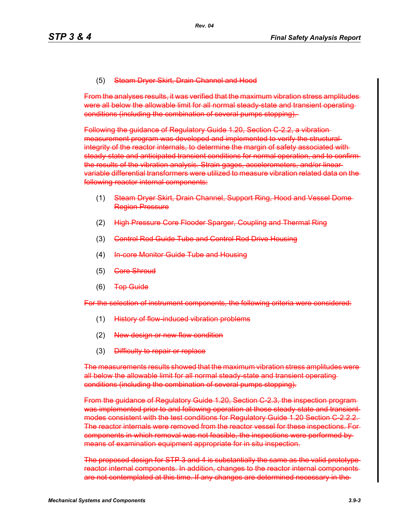#### (5) Steam Dryer Skirt, Drain Channel and Hood

From the analyses results, it was verified that the maximum vibration stress amplitudes were all below the allowable limit for all normal steady state and transient operating conditions (including the combination of several pumps stopping).

Following the guidance of Regulatory Guide 1.20, Section C-2.2, a vibration measurement program was developed and implemented to verify the structural integrity of the reactor internals, to determine the margin of safety associated with steady-state and anticipated transient conditions for normal operation, and to confirm the results of the vibration analysis. Strain gages, accelerometers, and/or linear variable differential transformers were utilized to measure vibration related data on the following reactor internal components:

- (1) Steam Dryer Skirt, Drain Channel, Support Ring, Hood and Vessel Dome Region Pressure
- (2) High Pressure Core Flooder Sparger, Coupling and Thermal Ring
- (3) Control Rod Guide Tube and Control Rod Drive Housing
- (4) In core Monitor Guide Tube and Housing
- (5) <del>Core Shroud</del>
- (6) Top Guide

For the selection of instrument components, the following criteria were considered:

- (1) History of flow-induced vibration problems
- (2) New design or new flow condition
- (3) Difficulty to repair or replace

The measurements results showed that the maximum vibration stress amplitudes were all below the allowable limit for all normal steady state and transient operating conditions (including the combination of several pumps stopping).

From the guidance of Regulatory Guide 1.20, Section C-2.3, the inspection program was implemented prior to and following operation at those steady state and transient modes consistent with the test conditions for Regulatory Guide 1.20 Section C-2.2.2. The reactor internals were removed from the reactor vessel for these inspections. For components in which removal was not feasible, the inspections were performed by means of examination equipment appropriate for in situ inspection.

The proposed design for STP 3 and 4 is substantially the same as the valid prototype reactor internal components. In addition, changes to the reactor internal components are not contemplated at this time. If any changes are determined necessary in the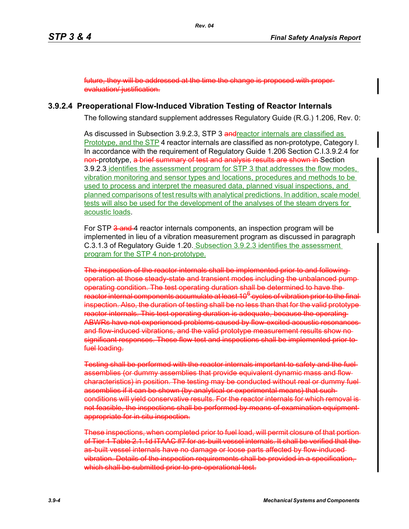future, they will be addressed at the time the change is proposed with proper evaluation/ justification.

#### **3.9.2.4 Preoperational Flow-Induced Vibration Testing of Reactor Internals**

The following standard supplement addresses Regulatory Guide (R.G.) 1.206, Rev. 0:

As discussed in Subsection 3.9.2.3, STP 3 and reactor internals are classified as Prototype, and the STP 4 reactor internals are classified as non-prototype, Category I. In accordance with the requirement of Regulatory Guide 1.206 Section C.I.3.9.2.4 for non-prototype, a brief summary of test and analysis results are shown in Section 3.9.2.3 identifies the assessment program for STP 3 that addresses the flow modes, vibration monitoring and sensor types and locations, procedures and methods to be used to process and interpret the measured data, planned visual inspections, and planned comparisons of test results with analytical predictions. In addition, scale model tests will also be used for the development of the analyses of the steam dryers for acoustic loads.

For STP 3 and 4 reactor internals components, an inspection program will be implemented in lieu of a vibration measurement program as discussed in paragraph C.3.1.3 of Regulatory Guide 1.20. Subsection 3.9.2.3 identifies the assessment program for the STP 4 non-prototype.

The inspection of the reactor internals shall be implemented prior to and following operation at those steady-state and transient modes including the unbalanced pump operating condition. The test operating duration shall be determined to have the reactor internal components accumulate at least 10<sup>6</sup> cycles of vibration prior to the final inspection. Also, the duration of testing shall be no less than that for the valid prototype reactor internals. This test operating duration is adequate, because the operating ABWRs have not experienced problems caused by flow-excited acoustic resonances and flow-induced vibrations, and the valid prototype measurement results show nosignificant responses. These flow test and inspections shall be implemented prior to fuel loading.

Testing shall be performed with the reactor internals important to safety and the fuel assemblies (or dummy assemblies that provide equivalent dynamic mass and flow characteristics) in position. The testing may be conducted without real or dummy fuel assemblies if it can be shown (by analytical or experimental means) that such conditions will yield conservative results. For the reactor internals for which removal is not feasible, the inspections shall be performed by means of examination equipment appropriate for in situ inspection.

These inspections, when completed prior to fuel load, will permit closure of that portion of Tier 1 Table 2.1.1d ITAAC #7 for as-built vessel internals. It shall be verified that the as-built vessel internals have no damage or loose parts affected by flow-induced vibration. Details of the inspection requirements shall be provided in a specification, which shall be submitted prior to pre-operational test.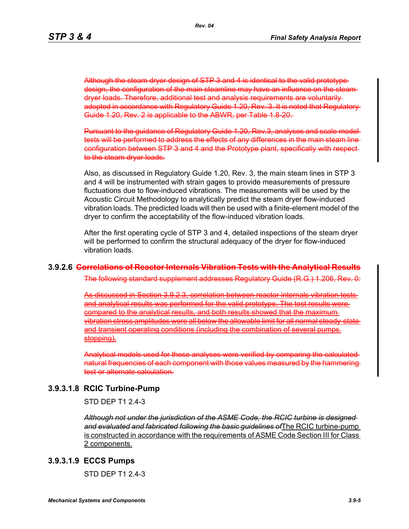Although the steam dryer design of STP 3 and 4 is identical to the valid prototype design, the configuration of the main steamline may have an influence on the steam dryer loads. Therefore, additional test and analysis requirements are voluntarily adopted in accordance with Regulatory Guide 1.20, Rev. 3. It is noted that Regulatory Guide 1.20, Rev. 2 is applicable to the ABWR, per Table 1.8-20.

Pursuant to the guidance of Regulatory Guide 1.20, Rev.3, analyses and scale model tests will be performed to address the effects of any differences in the main steam line configuration between STP 3 and 4 and the Prototype plant, specifically with respe to the steam dryer loads.

Also, as discussed in Regulatory Guide 1.20, Rev. 3, the main steam lines in STP 3 and 4 will be instrumented with strain gages to provide measurements of pressure fluctuations due to flow-induced vibrations. The measurements will be used by the Acoustic Circuit Methodology to analytically predict the steam dryer flow-induced vibration loads. The predicted loads will then be used with a finite-element model of the dryer to confirm the acceptability of the flow-induced vibration loads.

After the first operating cycle of STP 3 and 4, detailed inspections of the steam dryer will be performed to confirm the structural adequacy of the dryer for flow-induced vibration loads.

#### **3.9.2.6 Correlations of Reactor Internals Vibration Tests with the Analytical Results**

The following standard supplement addresses Regulatory Guide (R.G.) 1.206, Rev. 0:

As discussed in Section 3.9.2.3, correlation between reactor internals vibration tests and analytical results was performed for the valid prototype. The test results were compared to the analytical results, and both results showed that the maximum vibration stress amplitudes were all below the allowable limit for all normal steady-state and transient operating conditions (including the combination of several pumps stopping).

Analytical models used for these analyses were verified by comparing the calculated natural frequencies of each component with those values measured by the hammering test or alternate calculation.

#### **3.9.3.1.8 RCIC Turbine-Pump**

STD DEP T1 2.4-3

*Although not under the jurisdiction of the ASME Code, the RCIC turbine is designed and evaluated and fabricated following the basic guidelines of*The RCIC turbine-pump is constructed in accordance with the requirements of ASME Code Section III for Class 2 components.

#### **3.9.3.1.9 ECCS Pumps**

STD DEP T1 2.4-3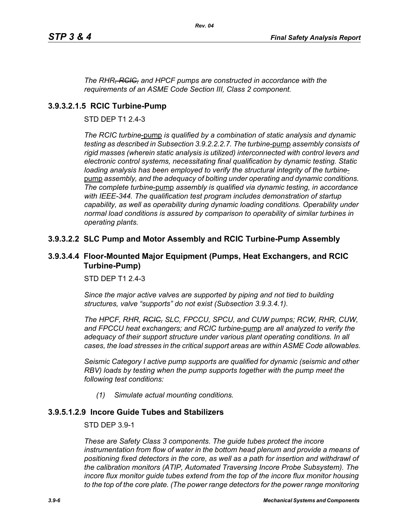*The RHR, RCIC, and HPCF pumps are constructed in accordance with the requirements of an ASME Code Section III, Class 2 component.*

## **3.9.3.2.1.5 RCIC Turbine-Pump**

STD DEP T1 2.4-3

*The RCIC turbine*-pump *is qualified by a combination of static analysis and dynamic testing as described in Subsection 3.9.2.2.2.7. The turbine*-pump *assembly consists of rigid masses (wherein static analysis is utilized) interconnected with control levers and electronic control systems, necessitating final qualification by dynamic testing. Static loading analysis has been employed to verify the structural integrity of the turbine*pump *assembly, and the adequacy of bolting under operating and dynamic conditions. The complete turbine*-pump *assembly is qualified via dynamic testing, in accordance with IEEE-344. The qualification test program includes demonstration of startup capability, as well as operability during dynamic loading conditions. Operability under normal load conditions is assured by comparison to operability of similar turbines in operating plants.*

## **3.9.3.2.2 SLC Pump and Motor Assembly and RCIC Turbine-Pump Assembly**

## **3.9.3.4.4 Floor-Mounted Major Equipment (Pumps, Heat Exchangers, and RCIC Turbine-Pump)**

STD DEP T1 2.4-3

*Since the major active valves are supported by piping and not tied to building structures, valve "supports" do not exist (Subsection 3.9.3.4.1).*

*The HPCF, RHR, RCIC, SLC, FPCCU, SPCU, and CUW pumps; RCW, RHR, CUW, and FPCCU heat exchangers; and RCIC turbine*-pump *are all analyzed to verify the adequacy of their support structure under various plant operating conditions. In all cases, the load stresses in the critical support areas are within ASME Code allowables.*

*Seismic Category I active pump supports are qualified for dynamic (seismic and other RBV) loads by testing when the pump supports together with the pump meet the following test conditions:*

*(1) Simulate actual mounting conditions.*

## **3.9.5.1.2.9 Incore Guide Tubes and Stabilizers**

STD DEP 3.9-1

*These are Safety Class 3 components. The guide tubes protect the incore*  instrumentation from flow of water in the bottom head plenum and provide a means of *positioning fixed detectors in the core, as well as a path for insertion and withdrawl of the calibration monitors (ATIP, Automated Traversing Incore Probe Subsystem). The incore flux monitor guide tubes extend from the top of the incore flux monitor housing*  to the top of the core plate. (The power range detectors for the power range monitoring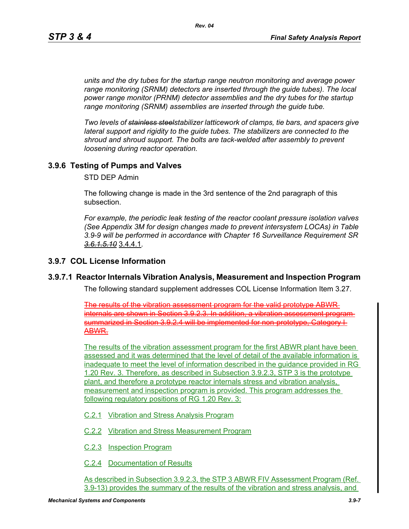*units and the dry tubes for the startup range neutron monitoring and average power range monitoring (SRNM) detectors are inserted through the guide tubes). The local power range monitor (PRNM) detector assemblies and the dry tubes for the startup range monitoring (SRNM) assemblies are inserted through the guide tube.*

*Two levels of stainless steelstabilizer latticework of clamps, tie bars, and spacers give lateral support and rigidity to the guide tubes. The stabilizers are connected to the shroud and shroud support. The bolts are tack-welded after assembly to prevent loosening during reactor operation.*

## **3.9.6 Testing of Pumps and Valves**

STD DEP Admin

The following change is made in the 3rd sentence of the 2nd paragraph of this subsection.

*For example, the periodic leak testing of the reactor coolant pressure isolation valves (See Appendix 3M for design changes made to prevent intersystem LOCAs) in Table 3.9-9 will be performed in accordance with Chapter 16 Surveillance Requirement SR 3.6.1.5.10* 3.4.4.1*.*

#### **3.9.7 COL License Information**

#### **3.9.7.1 Reactor Internals Vibration Analysis, Measurement and Inspection Program**

The following standard supplement addresses COL License Information Item 3.27.

The results of the vibration assessment program for the valid prototype ABWR internals are shown in Section 3.9.2.3. In addition, a vibration assessment program summarized in Section 3.9.2.4 will be implemented for non-prototype, Category I-ABWR.

The results of the vibration assessment program for the first ABWR plant have been assessed and it was determined that the level of detail of the available information is inadequate to meet the level of information described in the guidance provided in RG 1.20 Rev. 3. Therefore, as described in Subsection 3.9.2.3, STP 3 is the prototype plant, and therefore a prototype reactor internals stress and vibration analysis, measurement and inspection program is provided. This program addresses the following regulatory positions of RG 1.20 Rev. 3:

C.2.1 Vibration and Stress Analysis Program

C.2.2 Vibration and Stress Measurement Program

C.2.3 Inspection Program

C.2.4 Documentation of Results

As described in Subsection 3.9.2.3, the STP 3 ABWR FIV Assessment Program (Ref. 3.9-13) provides the summary of the results of the vibration and stress analysis, and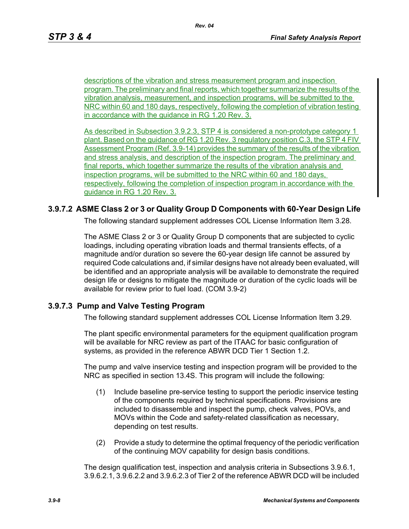descriptions of the vibration and stress measurement program and inspection program. The preliminary and final reports, which together summarize the results of the vibration analysis, measurement, and inspection programs, will be submitted to the NRC within 60 and 180 days, respectively, following the completion of vibration testing in accordance with the guidance in RG 1.20 Rev. 3.

As described in Subsection 3.9.2.3, STP 4 is considered a non-prototype category 1 plant. Based on the guidance of RG 1.20 Rev. 3 regulatory position C.3, the STP 4 FIV Assessment Program (Ref. 3.9-14) provides the summary of the results of the vibration and stress analysis, and description of the inspection program. The preliminary and final reports, which together summarize the results of the vibration analysis and inspection programs, will be submitted to the NRC within 60 and 180 days, respectively, following the completion of inspection program in accordance with the guidance in RG 1.20 Rev. 3.

## **3.9.7.2 ASME Class 2 or 3 or Quality Group D Components with 60-Year Design Life**

The following standard supplement addresses COL License Information Item 3.28.

The ASME Class 2 or 3 or Quality Group D components that are subjected to cyclic loadings, including operating vibration loads and thermal transients effects, of a magnitude and/or duration so severe the 60-year design life cannot be assured by required Code calculations and, if similar designs have not already been evaluated, will be identified and an appropriate analysis will be available to demonstrate the required design life or designs to mitigate the magnitude or duration of the cyclic loads will be available for review prior to fuel load. (COM 3.9-2)

#### **3.9.7.3 Pump and Valve Testing Program**

The following standard supplement addresses COL License Information Item 3.29.

The plant specific environmental parameters for the equipment qualification program will be available for NRC review as part of the ITAAC for basic configuration of systems, as provided in the reference ABWR DCD Tier 1 Section 1.2.

The pump and valve inservice testing and inspection program will be provided to the NRC as specified in section 13.4S. This program will include the following:

- (1) Include baseline pre-service testing to support the periodic inservice testing of the components required by technical specifications. Provisions are included to disassemble and inspect the pump, check valves, POVs, and MOVs within the Code and safety-related classification as necessary, depending on test results.
- (2) Provide a study to determine the optimal frequency of the periodic verification of the continuing MOV capability for design basis conditions.

The design qualification test, inspection and analysis criteria in Subsections 3.9.6.1, 3.9.6.2.1, 3.9.6.2.2 and 3.9.6.2.3 of Tier 2 of the reference ABWR DCD will be included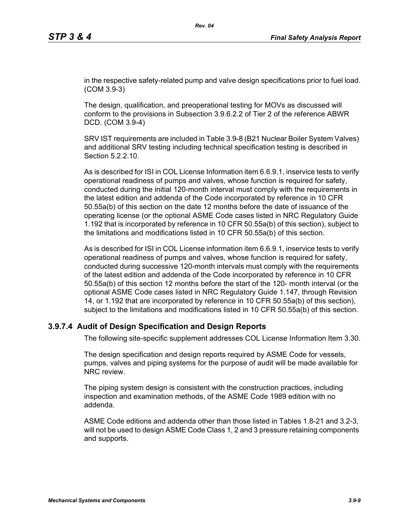in the respective safety-related pump and valve design specifications prior to fuel load. (COM 3.9-3)

The design, qualification, and preoperational testing for MOVs as discussed will conform to the provisions in Subsection 3.9.6.2.2 of Tier 2 of the reference ABWR DCD. (COM 3.9-4)

SRV IST requirements are included in Table 3.9-8 (B21 Nuclear Boiler System Valves) and additional SRV testing including technical specification testing is described in Section 5.2.2.10

As is described for ISI in COL License Information item 6.6.9.1, inservice tests to verify operational readiness of pumps and valves, whose function is required for safety, conducted during the initial 120-month interval must comply with the requirements in the latest edition and addenda of the Code incorporated by reference in 10 CFR 50.55a(b) of this section on the date 12 months before the date of issuance of the operating license (or the optional ASME Code cases listed in NRC Regulatory Guide 1.192 that is incorporated by reference in 10 CFR 50.55a(b) of this section), subject to the limitations and modifications listed in 10 CFR 50.55a(b) of this section.

As is described for ISI in COL License information item 6.6.9.1, inservice tests to verify operational readiness of pumps and valves, whose function is required for safety, conducted during successive 120-month intervals must comply with the requirements of the latest edition and addenda of the Code incorporated by reference in 10 CFR 50.55a(b) of this section 12 months before the start of the 120- month interval (or the optional ASME Code cases listed in NRC Regulatory Guide 1.147, through Revision 14, or 1.192 that are incorporated by reference in 10 CFR 50.55a(b) of this section), subject to the limitations and modifications listed in 10 CFR 50.55a(b) of this section.

## **3.9.7.4 Audit of Design Specification and Design Reports**

The following site-specific supplement addresses COL License Information Item 3.30.

The design specification and design reports required by ASME Code for vessels, pumps, valves and piping systems for the purpose of audit will be made available for NRC review.

The piping system design is consistent with the construction practices, including inspection and examination methods, of the ASME Code 1989 edition with no addenda.

ASME Code editions and addenda other than those listed in Tables 1.8-21 and 3.2-3, will not be used to design ASME Code Class 1, 2 and 3 pressure retaining components and supports.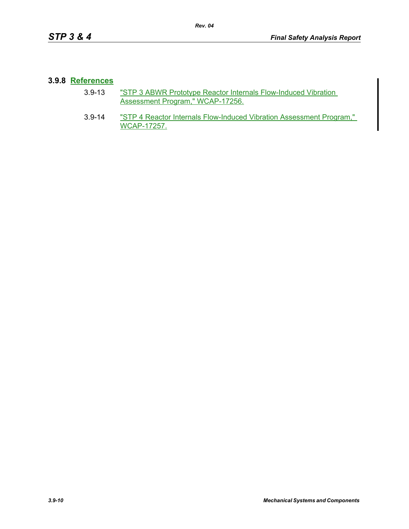#### **3.9.8 References**

- 3.9-13 "STP 3 ABWR Prototype Reactor Internals Flow-Induced Vibration Assessment Program," WCAP-17256.
- 3.9-14 "STP 4 Reactor Internals Flow-Induced Vibration Assessment Program," WCAP-17257.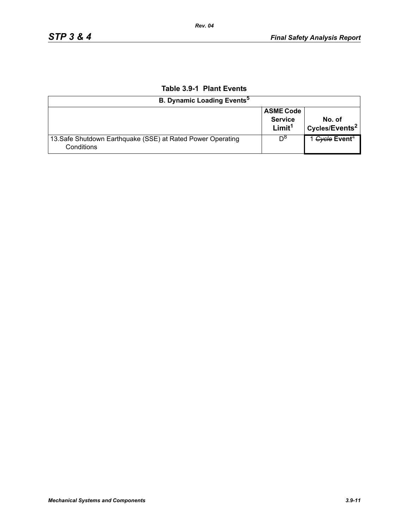| <b>B. Dynamic Loading Events<sup>5</sup></b>                              |                                                          |                                      |
|---------------------------------------------------------------------------|----------------------------------------------------------|--------------------------------------|
|                                                                           | <b>ASME Code</b><br><b>Service</b><br>Limit <sup>1</sup> | No. of<br>Cycles/Events <sup>2</sup> |
| 13. Safe Shutdown Earthquake (SSE) at Rated Power Operating<br>Conditions | Do                                                       | 1 Gycle Event <sup>4</sup>           |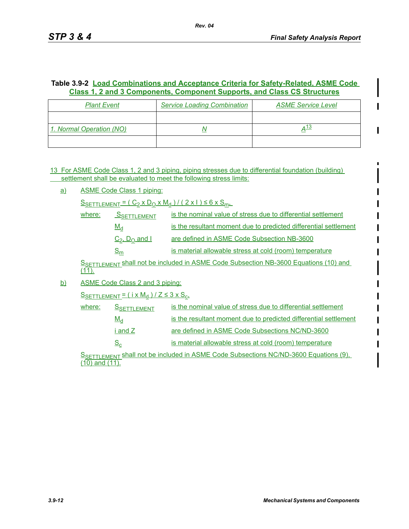## **Table 3.9-2 Load Combinations and Acceptance Criteria for Safety-Related, ASME Code Class 1, 2 and 3 Components, Component Supports, and Class CS Structures**

| <b>Plant Event</b>       | <b>Service Loading Combination</b> | <b>ASME Service Level</b> |
|--------------------------|------------------------------------|---------------------------|
|                          |                                    |                           |
| 1. Normal Operation (NO) |                                    | <u> 13</u>                |
|                          |                                    |                           |

13 For ASME Code Class 1, 2 and 3 piping, piping stresses due to differential foundation (building) settlement shall be evaluated to meet the following stress limits:

a) ASME Code Class 1 piping:

 $S_{SETTLEMENT} = (C_2 \times D_0 \times M_d) / (2 \times 1) \le 6 \times S_{m}$ 

| where: | SSETTLEMENT         | is the nominal value of stress due to differential settlement    |
|--------|---------------------|------------------------------------------------------------------|
|        | $M_d$               | is the resultant moment due to predicted differential settlement |
|        | $C_2$ , $D_0$ and I | are defined in ASME Code Subsection NB-3600                      |
|        | $S_{m}$             | is material allowable stress at cold (room) temperature          |

SSETTLEMENT shall not be included in ASME Code Subsection NB-3600 Equations (10) and  $(11)$ .

b) ASME Code Class 2 and 3 piping:

 $S$ SETTLEMENT =  $(i \times M_d)/Z \leq 3 \times S_c$ 

| where: | <b>SSETTLEMENT</b> | is the nominal value of stress due to differential settlement    |
|--------|--------------------|------------------------------------------------------------------|
|        | $M_d$              | is the resultant moment due to predicted differential settlement |
|        | i and Z            | are defined in ASME Code Subsections NC/ND-3600                  |
|        | $S_c$              | is material allowable stress at cold (room) temperature          |

S**SETTLEMENT Shall not be included in ASME Code Subsections NC/ND-3600 Equations (9)**, (10) and (11).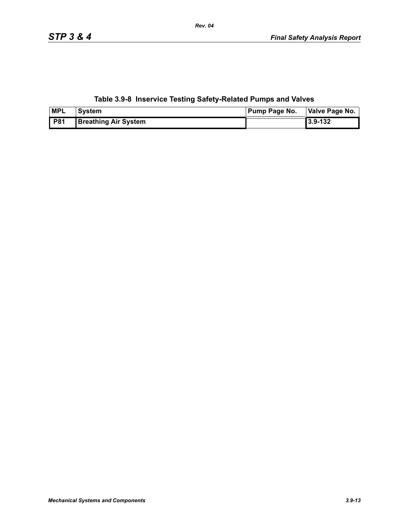# **Table 3.9-8 Inservice Testing Safety-Related Pumps and Valves**

| <b>MPL</b> | <b>System</b>               | <b>Pump Page No.</b> | Valve Page No. |  |
|------------|-----------------------------|----------------------|----------------|--|
| <b>P81</b> | <b>Breathing Air System</b> |                      | 3.9-132        |  |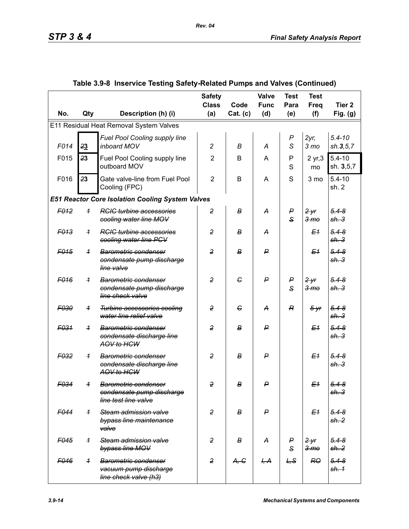|                  |                |                                                                                             | <b>Safety</b><br><b>Class</b> | Code             | <b>Valve</b><br><b>Func</b> | <b>Test</b><br>Para   | <b>Test</b><br>Freq        | Tier <sub>2</sub>             |
|------------------|----------------|---------------------------------------------------------------------------------------------|-------------------------------|------------------|-----------------------------|-----------------------|----------------------------|-------------------------------|
| No.              | Qty            | Description (h) (i)                                                                         | (a)                           | Cat. (c)         | (d)                         | (e)                   | (f)                        | Fig. $(g)$                    |
|                  |                | E11 Residual Heat Removal System Valves                                                     |                               |                  |                             |                       |                            |                               |
| F014             | 23             | Fuel Pool Cooling supply line<br>inboard MOV                                                | $\overline{c}$                | В                | A                           | $\boldsymbol{P}$<br>S | $2yr$ ,<br>3 <sub>mo</sub> | $5.4 - 10$<br>sh.3, 5, 7      |
| F015             | 23             | Fuel Pool Cooling supply line<br>outboard MOV                                               | $\overline{2}$                | B                | A                           | P<br>S                | 2 yr, 3<br>mo              | $5.4 - 10$<br>sh. 3,5,7       |
| F016             | 23             | Gate valve-line from Fuel Pool<br>Cooling (FPC)                                             | $\overline{2}$                | B                | A                           | S                     | 3 mo                       | $5.4 - 10$<br>sh. 2           |
|                  |                | <b>E51 Reactor Core Isolation Cooling System Valves</b>                                     |                               |                  |                             |                       |                            |                               |
| F <sub>012</sub> | $\overline{1}$ | <b>RCIC turbine accessories</b><br>cooling water line MOV                                   | $\overline{2}$                | В                | А                           | P<br>$\mathbf{s}$     | 2yr<br>3 <sub>mo</sub>     | $5.4 - 8$<br>sh.3             |
| F <sub>013</sub> | $\overline{1}$ | <b>RGIG</b> turbine accessories<br>cooling water line PCV                                   | $\overline{2}$                | в                | A                           |                       | E <sub>1</sub>             | $5.4 - 8$<br>sh.3             |
| F <sub>015</sub> | $\overline{1}$ | Barometric condenser<br>condensate pump discharge<br>line valve                             | $\overline{2}$                | $\boldsymbol{B}$ | ₽                           |                       | E <sub>1</sub>             | $5.4 - 8$<br>sh.3             |
| F <sub>016</sub> | $\overline{1}$ | Barometric condenser<br>condensate pump discharge<br>line check valve                       | $\overline{2}$                | G                | $\mathsf{P}$                | P<br>$\mathbf{s}$     | 2yr<br>3 <sub>mo</sub>     | $5.4 - 8$<br>sh.3             |
| F030             | $\overline{1}$ | <b>Turbine accessories cooling</b><br>water line relief valve                               | $\overline{2}$                | G                | A                           | R                     | $5 - yr$                   | $5.4 - 8$<br>sh.3             |
| F <sub>031</sub> | $\overline{1}$ | Barometric condenser<br>condensate discharge line<br>AOV to HCW                             | $\overline{2}$                | $\boldsymbol{B}$ | ₽                           |                       | E <sub>1</sub>             | $5.4 - 8$<br>sh.3             |
| F <sub>032</sub> | $\overline{1}$ | <b>Barometric condenser</b><br>condensate discharge line<br>AOV to HCW                      | $\overline{2}$                | в                | ₽                           |                       | E <sub>1</sub>             | $5.4 - 8$<br>sh.3             |
| F034             | $\overline{1}$ | <b>Barometric condenser</b><br><del>condensate pump discharge</del><br>line test line valve | $\overline{2}$                | в                | $\mathsf{P}$                |                       | E <sub>1</sub>             | $5.4 - 8$<br><del>sh. 3</del> |
| F044             | $\overline{1}$ | Steam admission valve<br>bypass line maintenance<br>valve                                   | $\overline{2}$                | B                | $\mathsf{P}$                |                       | E <sub>1</sub>             | $5.4 - 8$<br>sh.2             |
| F <sub>045</sub> | $\overline{1}$ | Steam admission valve<br>bypass line MOV                                                    | $\overline{2}$                | в                | A                           | P<br>$\mathsf{s}$     | 2yr<br>3 <sub>mo</sub>     | $5.4 - 8$<br>sh. 2            |
| F046             | $\overline{1}$ | <b>Barometric condenser</b><br>vacuum pump discharge<br>line check valve (h3)               | $\overline{2}$                | A, G             | H, A                        | L, S                  | RO                         | $5.4 - 8$<br>sh. 1            |

# **Table 3.9-8 Inservice Testing Safety-Related Pumps and Valves (Continued)**

 *Rev. 04*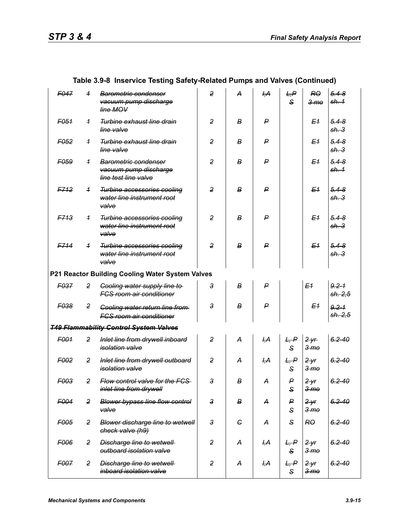| F047             | $\overline{1}$ | <b>Barometric condenser</b><br>vacuum pump discharge<br>line MOV          | $\overline{2}$ | А          | H, A           | L, P<br>$\mathbf{s}$ | R <sub>0</sub><br>3 <sub>mo</sub> | $5.4 - 8$<br><del>sh. 1</del> |
|------------------|----------------|---------------------------------------------------------------------------|----------------|------------|----------------|----------------------|-----------------------------------|-------------------------------|
| F051             | $\overline{1}$ | <b>Turbine exhaust line drain</b><br>line valve                           | $\overline{2}$ | В          | P              |                      | E <sub>1</sub>                    | $5.4 - 8$<br><del>sh. 3</del> |
| F <sub>052</sub> | $\overline{1}$ | <b>Turbine exhaust line drain</b><br>line valve                           | $\overline{2}$ | В          | P              |                      | E <sub>1</sub>                    | $5.4 - 8$<br><del>sh. 3</del> |
| F059             | $\overline{1}$ | Barometric condenser<br>vacuum pump discharge<br>line test line valve     | $\overline{2}$ | В          | P              |                      | E <sub>1</sub>                    | $5.4 - 8$<br><del>sh. 1</del> |
| <b>F712</b>      | $\overline{1}$ | Turbine accessories cooling<br>water line instrument root<br>valve        | $\overline{2}$ | в          | $\mathsf{P}$   |                      | E <sub>1</sub>                    | $5.4 - 8$<br><del>sh. 3</del> |
| <b>F713</b>      | $\overline{1}$ | <b>Turbine accessories cooling</b><br>water line instrument root<br>valve | $\overline{2}$ | В          | P              |                      | E <sub>1</sub>                    | $5.4 - 8$<br><del>sh. 3</del> |
| F714             | $\overline{1}$ | <b>Turbine accessories cooling</b><br>water line instrument root<br>valve | $\overline{2}$ | в          | $\mathsf{P}$   |                      | E <sub>1</sub>                    | $5.4 - 8$<br>sh.3             |
|                  |                | P21 Reactor Building Cooling Water System Valves                          |                |            |                |                      |                                   |                               |
| F037             | $\overline{2}$ | <b>Cooling water supply line to</b><br><b>FCS room air conditioner</b>    | 3              | в          | P              |                      | E <sub>1</sub>                    | $9.2 - 1$<br>sh. 2,5          |
| F038             | 2              | Cooling water return line from<br>FCS room air conditioner                | $\overline{3}$ | В          | $\mathsf{P}$   |                      | E <sub>1</sub>                    | $9.2 - 1$<br>sh. 2,5          |
|                  |                | <b>T49 Flammability Control System Valves</b>                             |                |            |                |                      |                                   |                               |
| F001             | $\overline{2}$ | Inlet line from drywell inboard<br><i>isolation</i> valve                 | $\overline{2}$ | А          | H, A           | L, P<br>$\mathbf{s}$ | 2yr<br>3 <sub>mo</sub>            | $6.2 - 40$                    |
| F <sub>002</sub> | $\overline{2}$ | Inlet line from drywell outboard<br><i>isolation valve</i>                | $\overline{2}$ | A          | <del>І,А</del> | L, P<br>S            | $2 - yr$<br>3 <sub>me</sub>       | $6.2 - 40$                    |
| F <sub>003</sub> | $\overline{2}$ | Flow control valve for the FCS<br>inlet line from drywell                 | 3              | B          | А              | P<br>S               | 2yr<br>3 <sub>mo</sub>            | $6.2 - 40$                    |
| F004             | $\overline{2}$ | <b>Blower bypass line flow control</b><br>valve                           | $\mathsf 3$    | В          | A              | P<br>S               | 2yr<br>3 <sub>me</sub>            | $6.2 - 40$                    |
| F005             | $\overline{2}$ | <b>Blower discharge line to wetwell</b><br>check valve (h9)               | $\mathbf{3}$   | $\epsilon$ | A              | S                    | <b>RO</b>                         | $6.2 - 40$                    |
| F006             | $\overline{2}$ | <b>Discharge line to wetwell</b><br>outboard isolation valve              | $\overline{2}$ | A          | <del>I,A</del> | L, P<br>S            | 2yr<br>3 <sub>mo</sub>            | $6.2 - 40$                    |
| F007             | $\overline{2}$ | <b>Discharge line to wetwell</b><br>inboard isolation valve               | $\overline{2}$ | А          | ĻА             | L, P<br>$\mathbf{s}$ | $2$ yr<br>3 <sub>mo</sub>         | $6.2 - 40$                    |

## **Table 3.9-8 Inservice Testing Safety-Related Pumps and Valves (Continued)**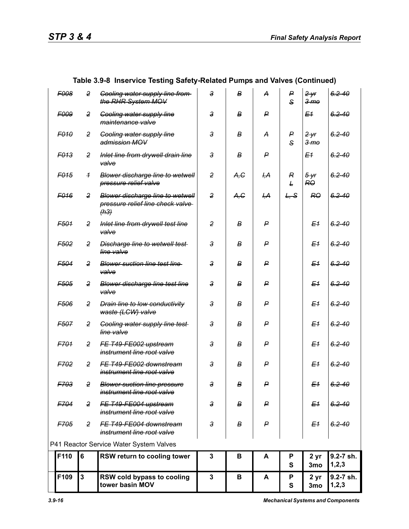|                  |                | Table 3.9-8 Inservice Testing Safety-Related Pumps and Valves (Continued)           |                |                  |                |                                    |                          |                      |
|------------------|----------------|-------------------------------------------------------------------------------------|----------------|------------------|----------------|------------------------------------|--------------------------|----------------------|
| <b>F008</b>      | 2              | <b>Cooling water supply line from-</b><br>the RHR System MOV                        | 3              | B                | A              | P<br>S                             | 2yr<br>$3 \,$ m $\theta$ | $6.2 - 40$           |
| <b>F009</b>      | 2              | <b>Gooling water supply line</b><br>maintenance valve                               | 3              | в                | ₽              |                                    | E <sub>1</sub>           | $6.2 - 40$           |
| <b>F010</b>      | 2              | <b>Cooling water supply line</b><br>admission MOV                                   | 3              | в                | A              | P<br>S                             | 2yr<br>3 <sub>mo</sub>   | $6.2 - 40$           |
| F <sub>013</sub> | 2              | Inlet line from drywell drain line<br>valve                                         | 3              | В                | P              |                                    | E <sub>1</sub>           | $6.2 - 40$           |
| F <sub>015</sub> | $\overline{1}$ | Blower discharge line to wetwell<br>pressure relief valve                           | $\overline{2}$ | A, C             | ĻА             | $\boldsymbol{R}$<br>$\overline{E}$ | $5 - yr$<br>RO           | $6.2 - 40$           |
| F <sub>016</sub> | 2              | <b>Blower discharge line to wetwell</b><br>pressure relief line check valve<br>(h3) | $\overline{2}$ | A,G              | <del>I,A</del> | L, S                               | R <sub>0</sub>           | $6.2 - 40$           |
| F501             | 2              | Inlet line from drywell test line<br>valve                                          | $\overline{2}$ | B                | P              |                                    | E <sub>1</sub>           | $6.2 - 40$           |
| F <sub>502</sub> | 2              | Discharge line to wetwell test-<br>line valve                                       | 3              | B                | ₽              |                                    | E <sub>1</sub>           | $6.2 - 40$           |
| F <sub>504</sub> | 2              | <b>Blower suction line test line</b><br>valve                                       | 3              | в                | P              |                                    | E <sub>1</sub>           | $6.2 - 40$           |
| F <sub>505</sub> | 2              | <b>Blower discharge line test line</b><br>valve                                     | 3              | B                | P              |                                    | E <sub>1</sub>           | $6.2 - 40$           |
| F506             | 2              | <b>Drain line to low conductivity</b><br>waste (LCW) valve                          | 3              | в                | $\mathsf{P}$   |                                    | E <sub>1</sub>           | $6.2 - 40$           |
| F507             | 2              | <b>Cooling water supply line test</b><br>line valve                                 | 3              | B                | P              |                                    | E <sub>1</sub>           | $6.2 - 40$           |
| F701             | 2              | FE T49-FE002 upstream<br>instrument line root valve                                 | 3              | в                | P              |                                    | E <sub>1</sub>           | $6.2 - 40$           |
| F702             | 2              | FE T49-FE002 downstream<br>instrument line root valve                               | 3              | в                | P              |                                    | E <sub>1</sub>           | $6.2 - 40$           |
| F703             | $\overline{2}$ | <b>Blower suction line pressure</b><br>instrument line root valve                   | $\overline{3}$ | в                | P              |                                    | E <sub>1</sub>           | $6.2 - 40$           |
| F704             | 2              | FE T49-FE004 upstream<br>instrument line root valve                                 | 3              | В                | P              |                                    | E <sub>1</sub>           | $6.2 - 40$           |
| F705             | $\overline{2}$ | FE T49-FE004 downstream<br>instrument line root valve                               | $\mathbf{3}$   | $\boldsymbol{B}$ | P              |                                    | E <sub>1</sub>           | $6.2 - 40$           |
|                  |                | P41 Reactor Service Water System Valves                                             |                |                  |                |                                    |                          |                      |
| F110             | $6\phantom{1}$ | RSW return to cooling tower                                                         | 3              | В                | A              | P<br>S                             | 2 yr<br>3mo              | 9.2-7 sh.<br>1,2,3   |
| F109             | $\overline{3}$ | RSW cold bypass to cooling<br>tower basin MOV                                       | $\mathbf{3}$   | В                | A              | Ρ<br>S                             | 2 yr<br>3mo              | 9.2-7 sh.<br>1, 2, 3 |

# **Table 3.9-8 Inservice Testing Safety-Related Pumps and Valves (Continued)**